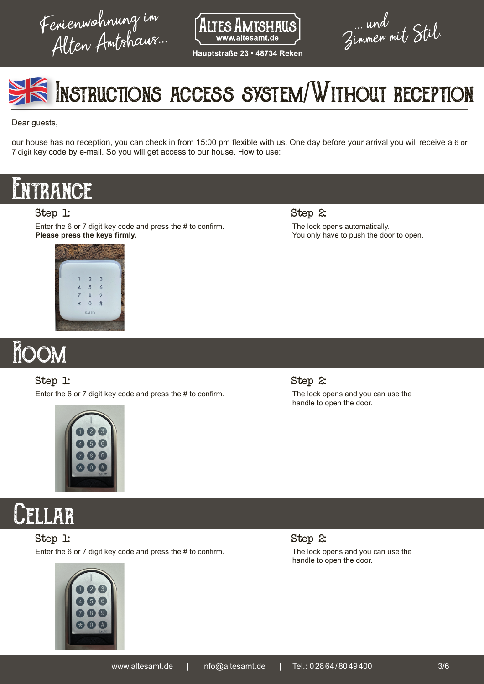Ferienwohnung im



Hauptstraße 23 = 48734 Reken

... und<br>Zimmen mit Stil.



Dear guests,

our house has no reception, you can check in from 15:00 pm flexible with us. One day before your arrival you will receive a 6 or 7 digit key code by e-mail. So you will get access to our house. How to use:

## **NTRANCE**

#### Step 1:

Enter the 6 or 7 digit key code and press the # to confirm. **Please press the keys firmly.**

> $\overline{3}$  $\overline{\mathbf{r}}$  $\circ$

Step 2: The lock opens automatically. You only have to push the door to open.

# Room

#### Step 1:

Enter the 6 or 7 digit key code and press the # to confirm.



#### Step 2: The lock opens and you can use the handle to open the door.

**CELLAR** 

Step 1:

Enter the 6 or 7 digit key code and press the # to confirm.



Step 2: The lock opens and you can use the handle to open the door.